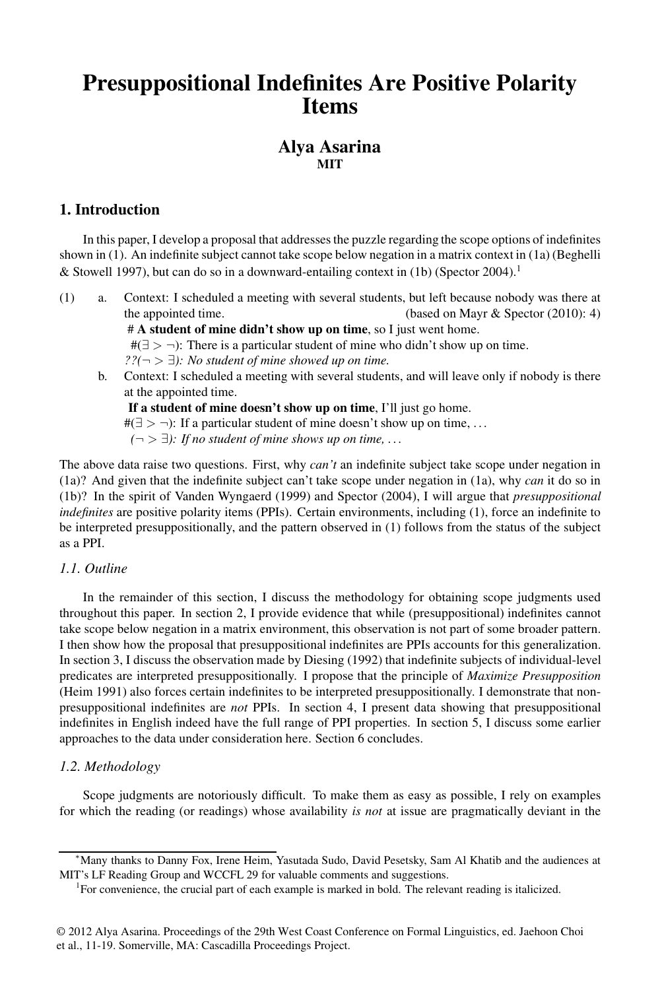## **Presuppositional Indefinites Are Positive Polarity Items**

## **Alya Asarina MIT**

## **1. Introduction**

In this paper, I develop a proposal that addresses the puzzle regarding the scope options of indefinites shown in (1). An indefinite subject cannot take scope below negation in a matrix context in (1a) (Beghelli & Stowell 1997), but can do so in a downward-entailing context in (1b) (Spector 2004).<sup>1</sup>

(1) a. Context: I scheduled a meeting with several students, but left because nobody was there at the appointed time. (based on Mayr & Spector (2010): 4)

# **A student of mine didn't show up on time**, so I just went home.

 $#(\exists > \neg)$ : There is a particular student of mine who didn't show up on time.

*??(*¬ > ∃*): No student of mine showed up on time.*

b. Context: I scheduled a meeting with several students, and will leave only if nobody is there at the appointed time.

**If a student of mine doesn't show up on time**, I'll just go home.

 $\#(\exists > \neg)$ : If a particular student of mine doesn't show up on time, ...

 $(¬ > ∃)$ : If no student of mine shows up on time, ...

The above data raise two questions. First, why *can't* an indefinite subject take scope under negation in (1a)? And given that the indefinite subject can't take scope under negation in (1a), why *can* it do so in (1b)? In the spirit of Vanden Wyngaerd (1999) and Spector (2004), I will argue that *presuppositional indefinites* are positive polarity items (PPIs). Certain environments, including (1), force an indefinite to be interpreted presuppositionally, and the pattern observed in (1) follows from the status of the subject as a PPI.

#### *1.1. Outline*

In the remainder of this section, I discuss the methodology for obtaining scope judgments used throughout this paper. In section 2, I provide evidence that while (presuppositional) indefinites cannot take scope below negation in a matrix environment, this observation is not part of some broader pattern. I then show how the proposal that presuppositional indefinites are PPIs accounts for this generalization. In section 3, I discuss the observation made by Diesing (1992) that indefinite subjects of individual-level predicates are interpreted presuppositionally. I propose that the principle of *Maximize Presupposition* (Heim 1991) also forces certain indefinites to be interpreted presuppositionally. I demonstrate that nonpresuppositional indefinites are *not* PPIs. In section 4, I present data showing that presuppositional indefinites in English indeed have the full range of PPI properties. In section 5, I discuss some earlier approaches to the data under consideration here. Section 6 concludes.

## *1.2. Methodology*

Scope judgments are notoriously difficult. To make them as easy as possible, I rely on examples for which the reading (or readings) whose availability *is not* at issue are pragmatically deviant in the

<sup>∗</sup>Many thanks to Danny Fox, Irene Heim, Yasutada Sudo, David Pesetsky, Sam Al Khatib and the audiences at MIT's LF Reading Group and WCCFL 29 for valuable comments and suggestions.

<sup>&</sup>lt;sup>1</sup>For convenience, the crucial part of each example is marked in bold. The relevant reading is italicized.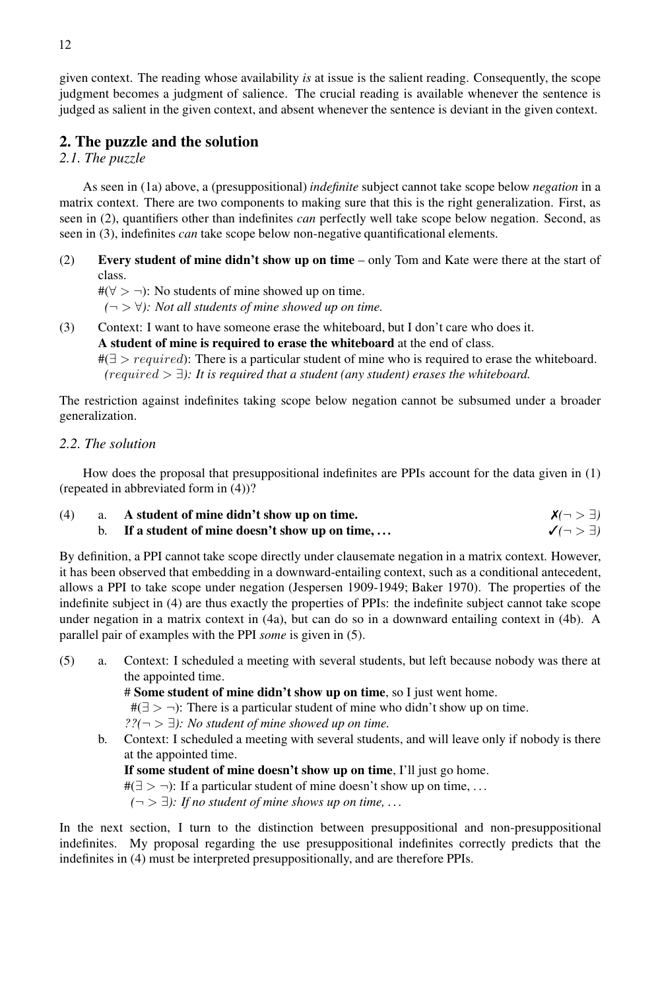given context. The reading whose availability *is* at issue is the salient reading. Consequently, the scope judgment becomes a judgment of salience. The crucial reading is available whenever the sentence is judged as salient in the given context, and absent whenever the sentence is deviant in the given context.

#### **2. The puzzle and the solution**

*2.1. The puzzle*

As seen in (1a) above, a (presuppositional) *indefinite* subject cannot take scope below *negation* in a matrix context. There are two components to making sure that this is the right generalization. First, as seen in (2), quantifiers other than indefinites *can* perfectly well take scope below negation. Second, as seen in (3), indefinites *can* take scope below non-negative quantificational elements.

- (2) **Every student of mine didn't show up on time** only Tom and Kate were there at the start of class.
	- #( $\forall$  > ¬): No students of mine showed up on time.
	- $(¬ > ∀)$ : Not all students of mine showed up on time.
- (3) Context: I want to have someone erase the whiteboard, but I don't care who does it. **A student of mine is required to erase the whiteboard** at the end of class.

 $\#(\exists > required)$ : There is a particular student of mine who is required to erase the whiteboard. #*(*required > ∃*): It is required that a student (any student) erases the whiteboard.*

The restriction against indefinites taking scope below negation cannot be subsumed under a broader generalization.

#### *2.2. The solution*

How does the proposal that presuppositional indefinites are PPIs account for the data given in (1) (repeated in abbreviated form in (4))?

(4) a. **A student of mine didn't show up on time.<br>
<b>b.** If a student of mine doesn't show up on time, ...  $\checkmark(\neg > \exists)$ **b.** If a student of mine doesn't show up on time, ...

By definition, a PPI cannot take scope directly under clausemate negation in a matrix context. However, it has been observed that embedding in a downward-entailing context, such as a conditional antecedent, allows a PPI to take scope under negation (Jespersen 1909-1949; Baker 1970). The properties of the indefinite subject in (4) are thus exactly the properties of PPIs: the indefinite subject cannot take scope under negation in a matrix context in (4a), but can do so in a downward entailing context in (4b). A parallel pair of examples with the PPI *some* is given in (5).

(5) a. Context: I scheduled a meeting with several students, but left because nobody was there at the appointed time.

# **Some student of mine didn't show up on time**, so I just went home.

 $#(\exists > \neg)$ : There is a particular student of mine who didn't show up on time.

*??(*¬ > ∃*): No student of mine showed up on time.*

b. Context: I scheduled a meeting with several students, and will leave only if nobody is there at the appointed time.

**If some student of mine doesn't show up on time**, I'll just go home.

 $#(\exists > \neg)$ : If a particular student of mine doesn't show up on time, ...

 $(¬ > ∃)$ : If no student of mine shows up on time, ...

In the next section, I turn to the distinction between presuppositional and non-presuppositional indefinites. My proposal regarding the use presuppositional indefinites correctly predicts that the indefinites in (4) must be interpreted presuppositionally, and are therefore PPIs.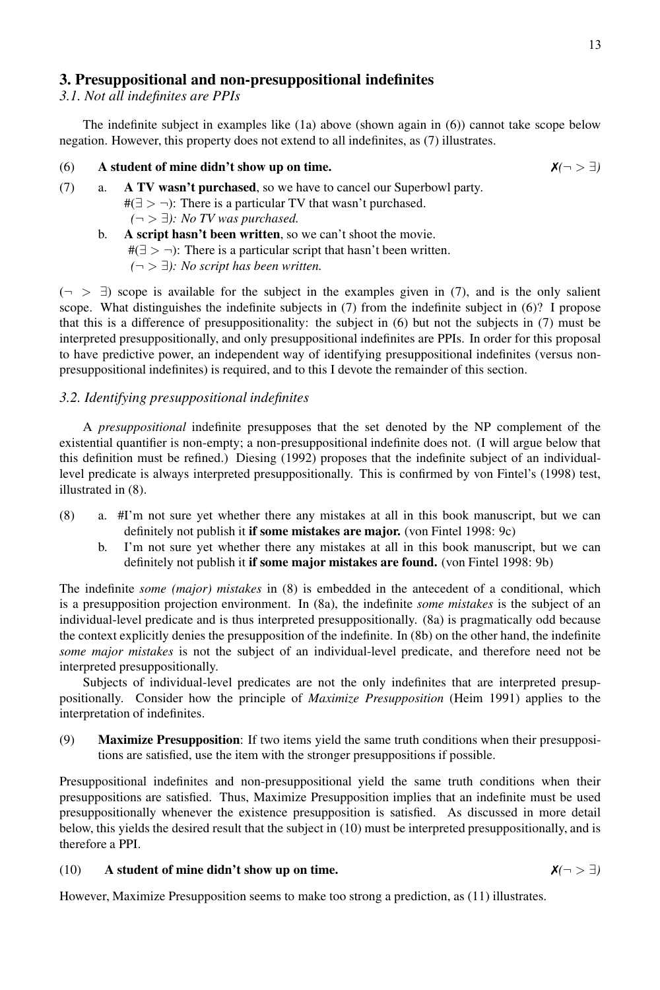## **3. Presuppositional and non-presuppositional indefinites**

*3.1. Not all indefinites are PPIs*

The indefinite subject in examples like (1a) above (shown again in (6)) cannot take scope below negation. However, this property does not extend to all indefinites, as (7) illustrates.

#### (6) **A student of mine didn't show up on time.**

\n- (7) a. **A TV wasn't purchased**, so we have to cancel our Superbowl party. 
$$
\#(\exists > \neg)
$$
: There is a particular TV that wasn't purchased.  $(\neg > \exists)$ : No TV was purchased.
\n

b. **A script hasn't been written**, so we can't shoot the movie.  $#(\exists > \neg)$ : There is a particular script that hasn't been written. #*(*¬ > ∃*): No script has been written.*

 $(\neg > \exists)$  scope is available for the subject in the examples given in (7), and is the only salient scope. What distinguishes the indefinite subjects in (7) from the indefinite subject in (6)? I propose that this is a difference of presuppositionality: the subject in (6) but not the subjects in (7) must be interpreted presuppositionally, and only presuppositional indefinites are PPIs. In order for this proposal to have predictive power, an independent way of identifying presuppositional indefinites (versus nonpresuppositional indefinites) is required, and to this I devote the remainder of this section.

#### *3.2. Identifying presuppositional indefinites*

A *presuppositional* indefinite presupposes that the set denoted by the NP complement of the existential quantifier is non-empty; a non-presuppositional indefinite does not. (I will argue below that this definition must be refined.) Diesing (1992) proposes that the indefinite subject of an individuallevel predicate is always interpreted presuppositionally. This is confirmed by von Fintel's (1998) test, illustrated in (8).

- (8) a. #I'm not sure yet whether there any mistakes at all in this book manuscript, but we can definitely not publish it **if some mistakes are major.** (von Fintel 1998: 9c)
	- b. I'm not sure yet whether there any mistakes at all in this book manuscript, but we can definitely not publish it **if some major mistakes are found.** (von Fintel 1998: 9b)

The indefinite *some (major) mistakes* in (8) is embedded in the antecedent of a conditional, which is a presupposition projection environment. In (8a), the indefinite *some mistakes* is the subject of an individual-level predicate and is thus interpreted presuppositionally. (8a) is pragmatically odd because the context explicitly denies the presupposition of the indefinite. In (8b) on the other hand, the indefinite *some major mistakes* is not the subject of an individual-level predicate, and therefore need not be interpreted presuppositionally.

Subjects of individual-level predicates are not the only indefinites that are interpreted presuppositionally. Consider how the principle of *Maximize Presupposition* (Heim 1991) applies to the interpretation of indefinites.

(9) **Maximize Presupposition**: If two items yield the same truth conditions when their presuppositions are satisfied, use the item with the stronger presuppositions if possible.

Presuppositional indefinites and non-presuppositional yield the same truth conditions when their presuppositions are satisfied. Thus, Maximize Presupposition implies that an indefinite must be used presuppositionally whenever the existence presupposition is satisfied. As discussed in more detail below, this yields the desired result that the subject in (10) must be interpreted presuppositionally, and is therefore a PPI.

## (10) **A student of mine didn't show up on time.**  $\mathsf{X}(\neg > \exists)$

However, Maximize Presupposition seems to make too strong a prediction, as (11) illustrates.

$$
\mathbf{X}(\neg > \exists)
$$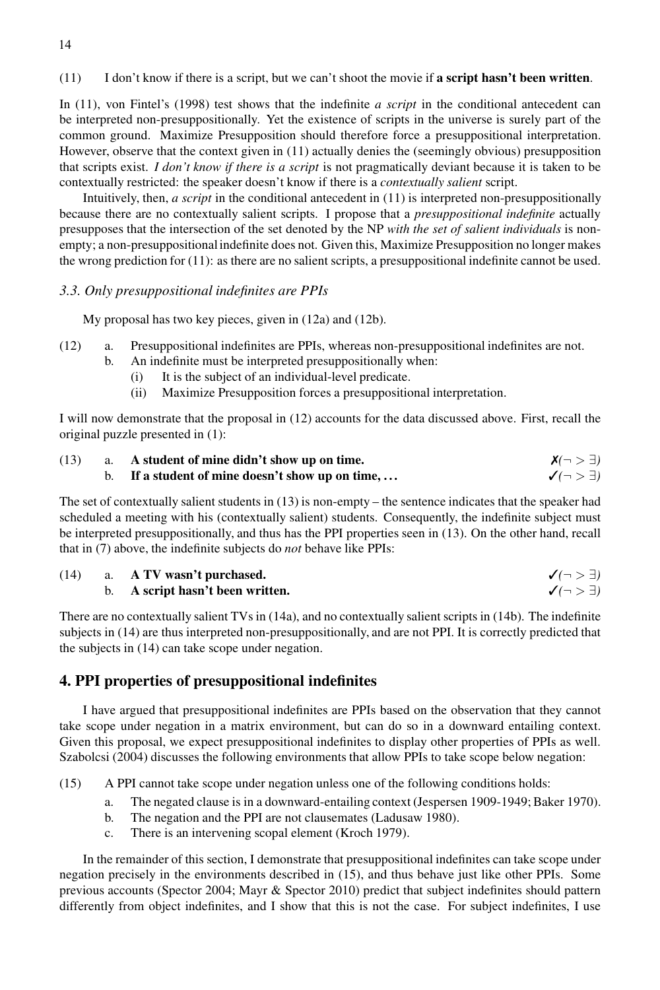(11) I don't know if there is a script, but we can't shoot the movie if **a script hasn't been written**.

In (11), von Fintel's (1998) test shows that the indefinite *a script* in the conditional antecedent can be interpreted non-presuppositionally. Yet the existence of scripts in the universe is surely part of the common ground. Maximize Presupposition should therefore force a presuppositional interpretation. However, observe that the context given in (11) actually denies the (seemingly obvious) presupposition that scripts exist. *I don't know if there is a script* is not pragmatically deviant because it is taken to be contextually restricted: the speaker doesn't know if there is a *contextually salient* script.

Intuitively, then, *a script* in the conditional antecedent in (11) is interpreted non-presuppositionally because there are no contextually salient scripts. I propose that a *presuppositional indefinite* actually presupposes that the intersection of the set denoted by the NP *with the set of salient individuals* is nonempty; a non-presuppositionalindefinite does not. Given this, Maximize Presupposition no longer makes the wrong prediction for (11): as there are no salient scripts, a presuppositional indefinite cannot be used.

#### *3.3. Only presuppositional indefinites are PPIs*

My proposal has two key pieces, given in (12a) and (12b).

- (12) a. Presuppositional indefinites are PPIs, whereas non-presuppositional indefinites are not.
	- b. An indefinite must be interpreted presuppositionally when:
		- (i) It is the subject of an individual-level predicate.
		- (ii) Maximize Presupposition forces a presuppositional interpretation.

I will now demonstrate that the proposal in (12) accounts for the data discussed above. First, recall the original puzzle presented in (1):

| (13) | a. A student of mine didn't show up on time.     | $X(\neg > \exists)$             |
|------|--------------------------------------------------|---------------------------------|
|      | b. If a student of mine doesn't show up on time, | $\checkmark$ (¬ $>$ $\exists$ ) |

The set of contextually salient students in (13) is non-empty – the sentence indicates that the speaker had scheduled a meeting with his (contextually salient) students. Consequently, the indefinite subject must be interpreted presuppositionally, and thus has the PPI properties seen in (13). On the other hand, recall that in (7) above, the indefinite subjects do *not* behave like PPIs:

(14) a. A TV wasn't purchased. b. A script hasn't been written. 
$$
\checkmark(\neg > \exists)
$$

There are no contextually salient TVs in (14a), and no contextually salient scripts in (14b). The indefinite subjects in (14) are thus interpreted non-presuppositionally, and are not PPI. It is correctly predicted that the subjects in (14) can take scope under negation.

## **4. PPI properties of presuppositional indefinites**

I have argued that presuppositional indefinites are PPIs based on the observation that they cannot take scope under negation in a matrix environment, but can do so in a downward entailing context. Given this proposal, we expect presuppositional indefinites to display other properties of PPIs as well. Szabolcsi (2004) discusses the following environments that allow PPIs to take scope below negation:

(15) A PPI cannot take scope under negation unless one of the following conditions holds:

- a. The negated clause is in a downward-entailing context (Jespersen 1909-1949; Baker 1970).
- b. The negation and the PPI are not clausemates (Ladusaw 1980).
- c. There is an intervening scopal element (Kroch 1979).

In the remainder of this section, I demonstrate that presuppositional indefinites can take scope under negation precisely in the environments described in (15), and thus behave just like other PPIs. Some previous accounts (Spector 2004; Mayr & Spector 2010) predict that subject indefinites should pattern differently from object indefinites, and I show that this is not the case. For subject indefinites, I use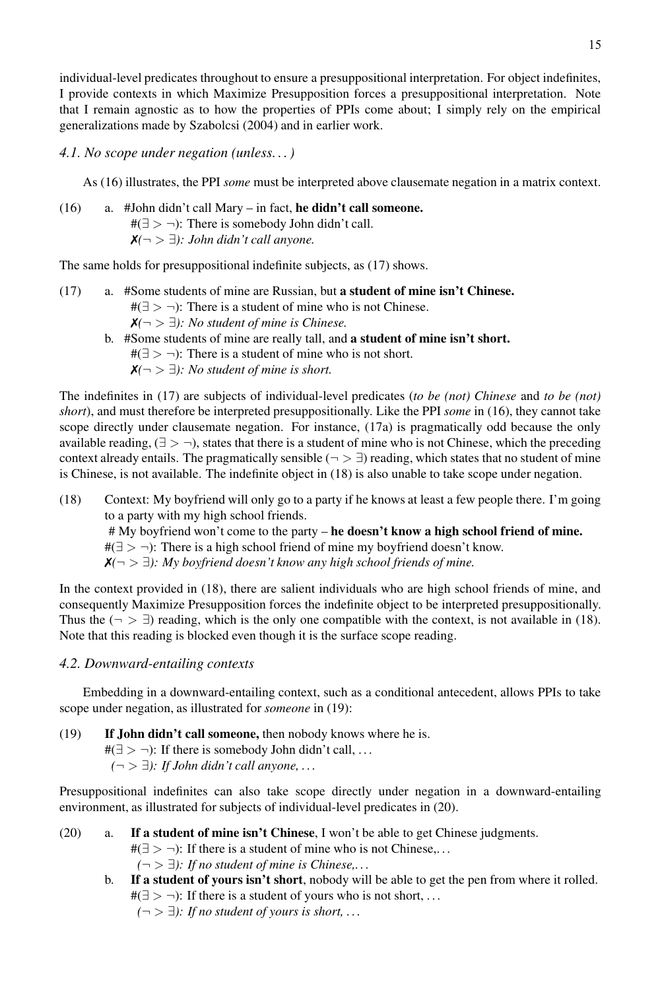individual-level predicates throughout to ensure a presuppositional interpretation. For object indefinites, I provide contexts in which Maximize Presupposition forces a presuppositional interpretation. Note that I remain agnostic as to how the properties of PPIs come about; I simply rely on the empirical generalizations made by Szabolcsi (2004) and in earlier work.

*4.1. No scope under negation (unless. . . )*

As (16) illustrates, the PPI *some* must be interpreted above clausemate negation in a matrix context.

(16) a. #John didn't call Mary – in fact, **he didn't call someone.**  $#(\exists > \neg)$ : There is somebody John didn't call. ✗*(*¬ > ∃*): John didn't call anyone.*

The same holds for presuppositional indefinite subjects, as (17) shows.

- (17) a. #Some students of mine are Russian, but **a student of mine isn't Chinese.**  $#(\exists > \neg)$ : There is a student of mine who is not Chinese. ✗*(*¬ > ∃*): No student of mine is Chinese.*
	- b. #Some students of mine are really tall, and **a student of mine isn't short.**  $#(∃ > ¬)$ : There is a student of mine who is not short. ✗*(*¬ > ∃*): No student of mine is short.*

The indefinites in (17) are subjects of individual-level predicates (*to be (not) Chinese* and *to be (not) short*), and must therefore be interpreted presuppositionally. Like the PPI *some* in (16), they cannot take scope directly under clausemate negation. For instance, (17a) is pragmatically odd because the only available reading,  $(\exists > \neg)$ , states that there is a student of mine who is not Chinese, which the preceding context already entails. The pragmatically sensible ( $\neg > \exists$ ) reading, which states that no student of mine is Chinese, is not available. The indefinite object in (18) is also unable to take scope under negation.

- (18) Context: My boyfriend will only go to a party if he knows at least a few people there. I'm going to a party with my high school friends.
	- # My boyfriend won't come to the party **he doesn't know a high school friend of mine.**

 $#(\exists > \neg)$ : There is a high school friend of mine my boyfriend doesn't know.

✗*(*¬ > ∃*): My boyfriend doesn't know any high school friends of mine.*

In the context provided in (18), there are salient individuals who are high school friends of mine, and consequently Maximize Presupposition forces the indefinite object to be interpreted presuppositionally. Thus the  $(\neg \geq \exists)$  reading, which is the only one compatible with the context, is not available in (18). Note that this reading is blocked even though it is the surface scope reading.

#### *4.2. Downward-entailing contexts*

Embedding in a downward-entailing context, such as a conditional antecedent, allows PPIs to take scope under negation, as illustrated for *someone* in (19):

(19) **If John didn't call someone,** then nobody knows where he is. #( $\exists$  >  $\neg$ ): If there is somebody John didn't call, ... #*(*¬ > ∃*): If John didn't call anyone, . . .*

Presuppositional indefinites can also take scope directly under negation in a downward-entailing environment, as illustrated for subjects of individual-level predicates in (20).

- (20) a. **If a student of mine isn't Chinese**, I won't be able to get Chinese judgments.  $#(\exists > \neg)$ : If there is a student of mine who is not Chinese,...  $(¬>∃):$  *If no student of mine is Chinese,...* 
	- b. **If a student of yours isn't short**, nobody will be able to get the pen from where it rolled. #( $\exists$  > ¬): If there is a student of yours who is not short, ...

 $(¬>∃):$  *If no student of yours is short, ...*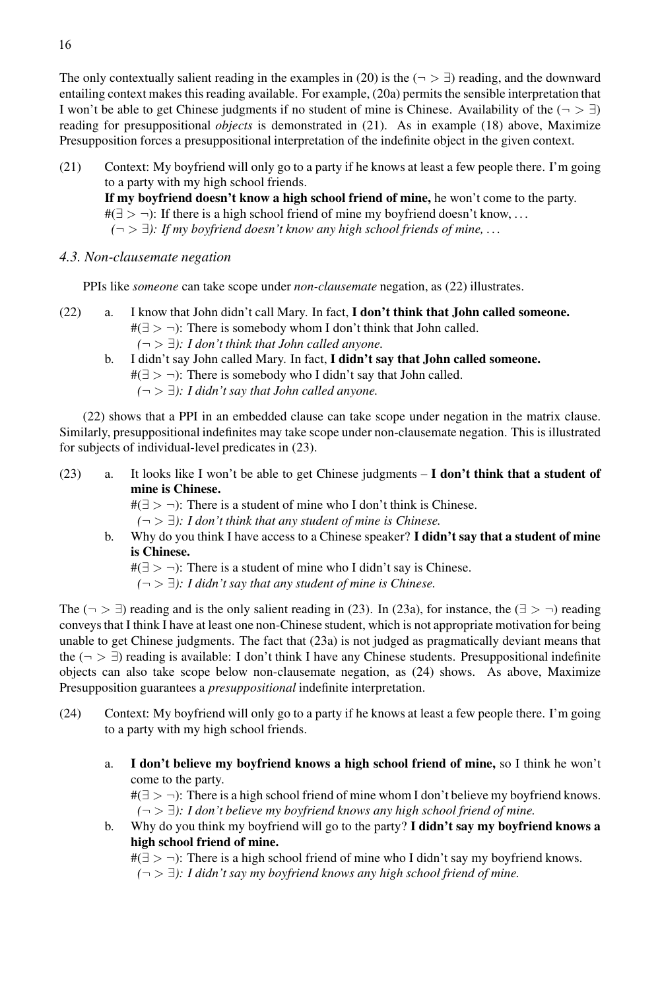The only contextually salient reading in the examples in (20) is the ( $\neg > \exists$ ) reading, and the downward entailing context makes this reading available. For example, (20a) permits the sensible interpretation that I won't be able to get Chinese judgments if no student of mine is Chinese. Availability of the  $(¬ > ∃)$ reading for presuppositional *objects* is demonstrated in (21). As in example (18) above, Maximize Presupposition forces a presuppositional interpretation of the indefinite object in the given context.

- (21) Context: My boyfriend will only go to a party if he knows at least a few people there. I'm going to a party with my high school friends. **If my boyfriend doesn't know a high school friend of mine,** he won't come to the party.  $\#(\exists > \neg)$ : If there is a high school friend of mine my boyfriend doesn't know, ... #*(*¬ > ∃*): If my boyfriend doesn't know any high school friends of mine, . . .*
- *4.3. Non-clausemate negation*

PPIs like *someone* can take scope under *non-clausemate* negation, as (22) illustrates.

- (22) a. I know that John didn't call Mary. In fact, **I don't think that John called someone.**  $#(\exists > \neg)$ : There is somebody whom I don't think that John called.  $(¬>∃): I don't think that John called any one.$ 
	- b. I didn't say John called Mary. In fact, **I didn't say that John called someone.** #( $\exists$  > ¬): There is somebody who I didn't say that John called. #*(*¬ > ∃*): I didn't say that John called anyone.*

(22) shows that a PPI in an embedded clause can take scope under negation in the matrix clause. Similarly, presuppositional indefinites may take scope under non-clausemate negation. This is illustrated for subjects of individual-level predicates in (23).

(23) a. It looks like I won't be able to get Chinese judgments – **I don't think that a student of mine is Chinese.**

 $#(\exists > \neg)$ : There is a student of mine who I don't think is Chinese.

 $(¬ > ∃)$ : *I don't think that any student of mine is Chinese.* 

b. Why do you think I have access to a Chinese speaker? **I didn't say that a student of mine is Chinese.**

 $\#(\exists > \neg)$ : There is a student of mine who I didn't say is Chinese.

 $(¬ > ∃)$ : *I didn't say that any student of mine is Chinese.* 

The ( $\neg$  >  $\exists$ ) reading and is the only salient reading in (23). In (23a), for instance, the ( $\exists$  >  $\neg$ ) reading conveys that I think I have at least one non-Chinese student, which is not appropriate motivation for being unable to get Chinese judgments. The fact that (23a) is not judged as pragmatically deviant means that the ( $\neg$  >  $\exists$ ) reading is available: I don't think I have any Chinese students. Presuppositional indefinite objects can also take scope below non-clausemate negation, as (24) shows. As above, Maximize Presupposition guarantees a *presuppositional* indefinite interpretation.

- (24) Context: My boyfriend will only go to a party if he knows at least a few people there. I'm going to a party with my high school friends.
	- a. **I don't believe my boyfriend knows a high school friend of mine,** so I think he won't come to the party.

#( $\exists$  > ¬): There is a high school friend of mine whom I don't believe my boyfriend knows. #*(*¬ > ∃*): I don't believe my boyfriend knows any high school friend of mine.*

b. Why do you think my boyfriend will go to the party? **I didn't say my boyfriend knows a high school friend of mine.**

#(∃ > ¬): There is a high school friend of mine who I didn't say my boyfriend knows.

#*(*¬ > ∃*): I didn't say my boyfriend knows any high school friend of mine.*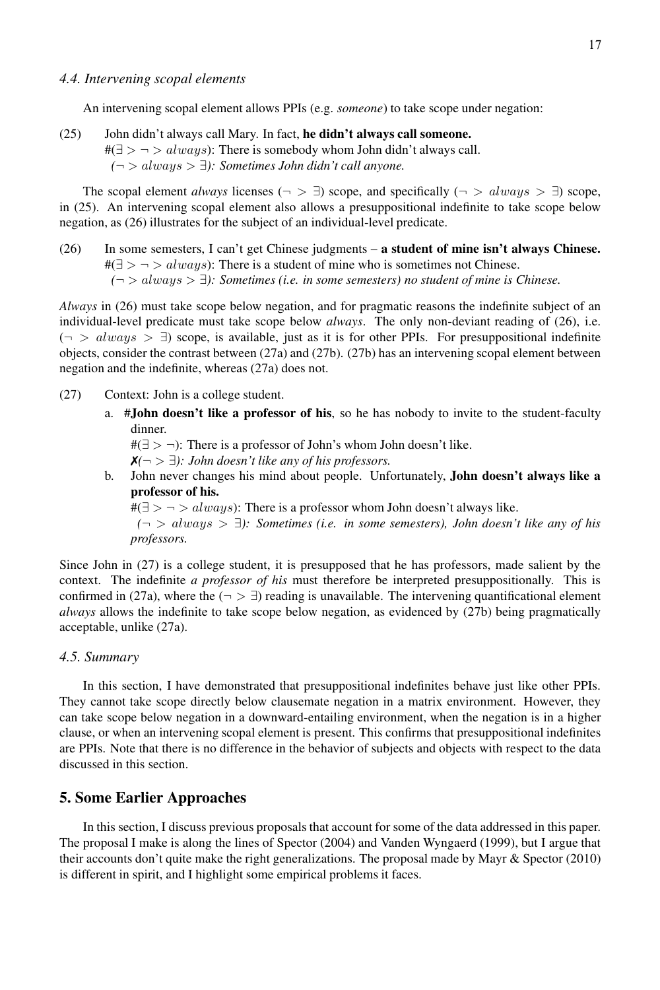#### *4.4. Intervening scopal elements*

An intervening scopal element allows PPIs (e.g. *someone*) to take scope under negation:

(25) John didn't always call Mary. In fact, **he didn't always call someone.**  $\#(\exists > \neg > always)$ : There is somebody whom John didn't always call. #*(*¬ > always > ∃*): Sometimes John didn't call anyone.*

The scopal element *always* licenses ( $\neg > \exists$ ) scope, and specifically ( $\neg > \text{always} > \exists$ ) scope, in (25). An intervening scopal element also allows a presuppositional indefinite to take scope below negation, as (26) illustrates for the subject of an individual-level predicate.

(26) In some semesters, I can't get Chinese judgments – **a student of mine isn't always Chinese.**  $\#(\exists > \neg > always)$ : There is a student of mine who is sometimes not Chinese. #*(*¬ > always > ∃*): Sometimes (i.e. in some semesters) no student of mine is Chinese.*

*Always* in (26) must take scope below negation, and for pragmatic reasons the indefinite subject of an individual-level predicate must take scope below *always*. The only non-deviant reading of (26), i.e.  $(\neg > always > \exists)$  scope, is available, just as it is for other PPIs. For presuppositional indefinite objects, consider the contrast between (27a) and (27b). (27b) has an intervening scopal element between negation and the indefinite, whereas (27a) does not.

- (27) Context: John is a college student.
	- a. #**John doesn't like a professor of his**, so he has nobody to invite to the student-faculty dinner.

 $#(\exists > \neg)$ : There is a professor of John's whom John doesn't like.

 $$ 

b. John never changes his mind about people. Unfortunately, **John doesn't always like a professor of his.**

 $\#(\exists > \neg > always)$ : There is a professor whom John doesn't always like.

#*(*¬ > always > ∃*): Sometimes (i.e. in some semesters), John doesn't like any of his professors.*

Since John in (27) is a college student, it is presupposed that he has professors, made salient by the context. The indefinite *a professor of his* must therefore be interpreted presuppositionally. This is confirmed in (27a), where the  $(¬ > ∃)$  reading is unavailable. The intervening quantificational element *always* allows the indefinite to take scope below negation, as evidenced by (27b) being pragmatically acceptable, unlike (27a).

#### *4.5. Summary*

In this section, I have demonstrated that presuppositional indefinites behave just like other PPIs. They cannot take scope directly below clausemate negation in a matrix environment. However, they can take scope below negation in a downward-entailing environment, when the negation is in a higher clause, or when an intervening scopal element is present. This confirms that presuppositional indefinites are PPIs. Note that there is no difference in the behavior of subjects and objects with respect to the data discussed in this section.

#### **5. Some Earlier Approaches**

In this section, I discuss previous proposals that account for some of the data addressed in this paper. The proposal I make is along the lines of Spector (2004) and Vanden Wyngaerd (1999), but I argue that their accounts don't quite make the right generalizations. The proposal made by Mayr & Spector (2010) is different in spirit, and I highlight some empirical problems it faces.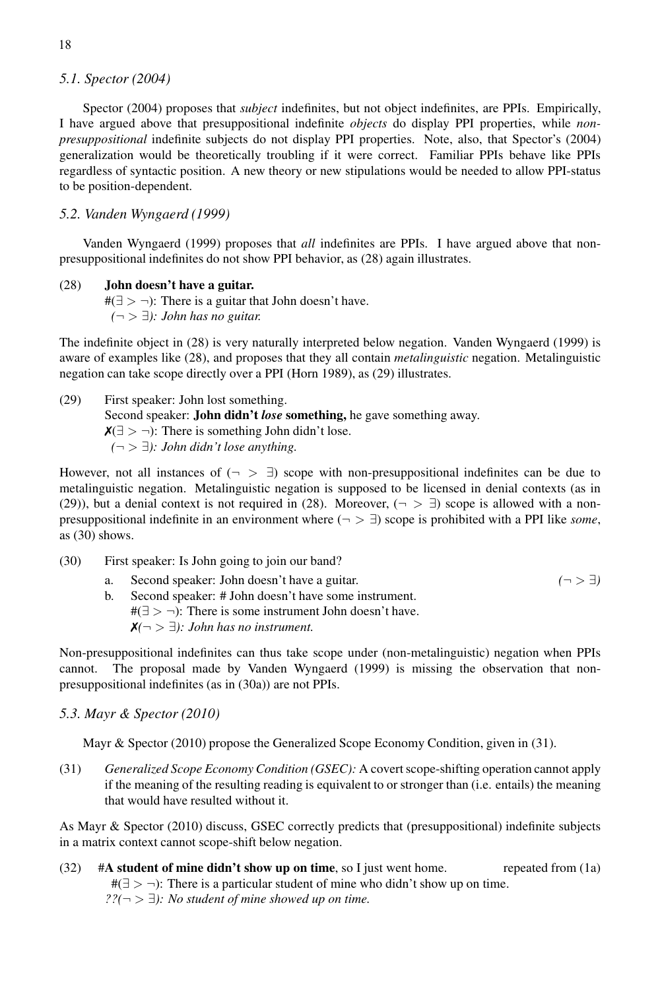#### *5.1. Spector (2004)*

Spector (2004) proposes that *subject* indefinites, but not object indefinites, are PPIs. Empirically, I have argued above that presuppositional indefinite *objects* do display PPI properties, while *nonpresuppositional* indefinite subjects do not display PPI properties. Note, also, that Spector's (2004) generalization would be theoretically troubling if it were correct. Familiar PPIs behave like PPIs regardless of syntactic position. A new theory or new stipulations would be needed to allow PPI-status to be position-dependent.

#### *5.2. Vanden Wyngaerd (1999)*

Vanden Wyngaerd (1999) proposes that *all* indefinites are PPIs. I have argued above that nonpresuppositional indefinites do not show PPI behavior, as (28) again illustrates.

#### (28) **John doesn't have a guitar.**

#( $\exists$  > ¬): There is a guitar that John doesn't have. #*(*¬ > ∃*): John has no guitar.*

The indefinite object in (28) is very naturally interpreted below negation. Vanden Wyngaerd (1999) is aware of examples like (28), and proposes that they all contain *metalinguistic* negation. Metalinguistic negation can take scope directly over a PPI (Horn 1989), as (29) illustrates.

(29) First speaker: John lost something. Second speaker: **John didn't** *lose* **something,** he gave something away.  $\mathsf{X}(\exists > \neg)$ : There is something John didn't lose. #*(*¬ > ∃*): John didn't lose anything.*

However, not all instances of  $(\neg > \exists)$  scope with non-presuppositional indefinites can be due to metalinguistic negation. Metalinguistic negation is supposed to be licensed in denial contexts (as in (29)), but a denial context is not required in (28). Moreover,  $(\neg > \exists)$  scope is allowed with a nonpresuppositional indefinite in an environment where  $(\neg > \exists)$  scope is prohibited with a PPI like *some*, as (30) shows.

- (30) First speaker: Is John going to join our band?
	- a. Second speaker: John doesn't have a guitar.  $(¬ > ∃)$
	- b. Second speaker: # John doesn't have some instrument.  $#(\exists > \neg)$ : There is some instrument John doesn't have. ✗*(*¬ > ∃*): John has no instrument.*

Non-presuppositional indefinites can thus take scope under (non-metalinguistic) negation when PPIs cannot. The proposal made by Vanden Wyngaerd (1999) is missing the observation that nonpresuppositional indefinites (as in (30a)) are not PPIs.

#### *5.3. Mayr & Spector (2010)*

Mayr & Spector (2010) propose the Generalized Scope Economy Condition, given in (31).

(31) *Generalized Scope Economy Condition (GSEC):* A covert scope-shifting operation cannot apply if the meaning of the resulting reading is equivalent to or stronger than (i.e. entails) the meaning that would have resulted without it.

As Mayr & Spector (2010) discuss, GSEC correctly predicts that (presuppositional) indefinite subjects in a matrix context cannot scope-shift below negation.

(32) #**A student of mine didn't show up on time**, so I just went home. repeated from (1a)  $#(\exists > \neg)$ : There is a particular student of mine who didn't show up on time. *??(*¬ > ∃*): No student of mine showed up on time.*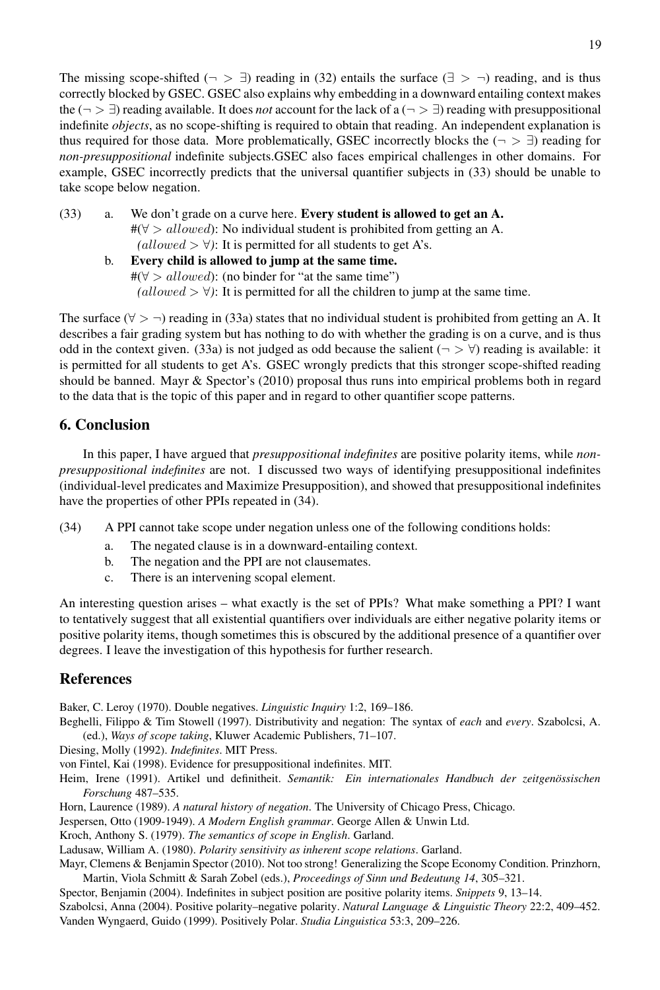The missing scope-shifted ( $\neg$   $\exists$ ) reading in (32) entails the surface ( $\exists$   $>$   $\neg$ ) reading, and is thus correctly blocked by GSEC. GSEC also explains why embedding in a downward entailing context makes the ( $\neg$  >  $\exists$ ) reading available. It does *not* account for the lack of a ( $\neg$  >  $\exists$ ) reading with presuppositional indefinite *objects*, as no scope-shifting is required to obtain that reading. An independent explanation is thus required for those data. More problematically, GSEC incorrectly blocks the  $(\neg > \exists)$  reading for *non-presuppositional* indefinite subjects.GSEC also faces empirical challenges in other domains. For example, GSEC incorrectly predicts that the universal quantifier subjects in (33) should be unable to take scope below negation.

- (33) a. We don't grade on a curve here. **Every student is allowed to get an A.**  $\#(\forall > allowed)$ : No individual student is prohibited from getting an A.  $(allowed > \forall)$ : It is permitted for all students to get A's.
	- b. **Every child is allowed to jump at the same time.**  $\#(\forall > allowed)$ : (no binder for "at the same time")  $(allowed > \forall)$ : It is permitted for all the children to jump at the same time.

The surface ( $\forall$  >  $\neg$ ) reading in (33a) states that no individual student is prohibited from getting an A. It describes a fair grading system but has nothing to do with whether the grading is on a curve, and is thus odd in the context given. (33a) is not judged as odd because the salient ( $\neg$  >  $\forall$ ) reading is available: it is permitted for all students to get A's. GSEC wrongly predicts that this stronger scope-shifted reading should be banned. Mayr & Spector's (2010) proposal thus runs into empirical problems both in regard to the data that is the topic of this paper and in regard to other quantifier scope patterns.

## **6. Conclusion**

In this paper, I have argued that *presuppositional indefinites* are positive polarity items, while *nonpresuppositional indefinites* are not. I discussed two ways of identifying presuppositional indefinites (individual-level predicates and Maximize Presupposition), and showed that presuppositional indefinites have the properties of other PPIs repeated in (34).

- (34) A PPI cannot take scope under negation unless one of the following conditions holds:
	- a. The negated clause is in a downward-entailing context.
	- b. The negation and the PPI are not clausemates.
	- c. There is an intervening scopal element.

An interesting question arises – what exactly is the set of PPIs? What make something a PPI? I want to tentatively suggest that all existential quantifiers over individuals are either negative polarity items or positive polarity items, though sometimes this is obscured by the additional presence of a quantifier over degrees. I leave the investigation of this hypothesis for further research.

## **References**

Baker, C. Leroy (1970). Double negatives. *Linguistic Inquiry* 1:2, 169–186.

Beghelli, Filippo & Tim Stowell (1997). Distributivity and negation: The syntax of *each* and *every*. Szabolcsi, A. (ed.), *Ways of scope taking*, Kluwer Academic Publishers, 71–107.

Diesing, Molly (1992). *Indefinites*. MIT Press.

von Fintel, Kai (1998). Evidence for presuppositional indefinites. MIT.

Heim, Irene (1991). Artikel und definitheit. *Semantik: Ein internationales Handbuch der zeitgenössischen Forschung* 487–535.

Horn, Laurence (1989). A natural history of negation. The University of Chicago Press, Chicago.

Jespersen, Otto (1909-1949). *A Modern English grammar*. George Allen & Unwin Ltd.

Kroch, Anthony S. (1979). *The semantics of scope in English*. Garland.

Ladusaw, William A. (1980). *Polarity sensitivity as inherent scope relations*. Garland.

Mayr, Clemens & Benjamin Spector (2010). Not too strong! Generalizing the Scope Economy Condition. Prinzhorn, Martin, Viola Schmitt & Sarah Zobel (eds.), *Proceedings of Sinn und Bedeutung 14*, 305–321.

Spector, Benjamin (2004). Indefinites in subject position are positive polarity items. *Snippets* 9, 13–14. Szabolcsi, Anna (2004). Positive polarity–negative polarity. *Natural Language & Linguistic Theory* 22:2, 409–452. Vanden Wyngaerd, Guido (1999). Positively Polar. *Studia Linguistica* 53:3, 209–226.